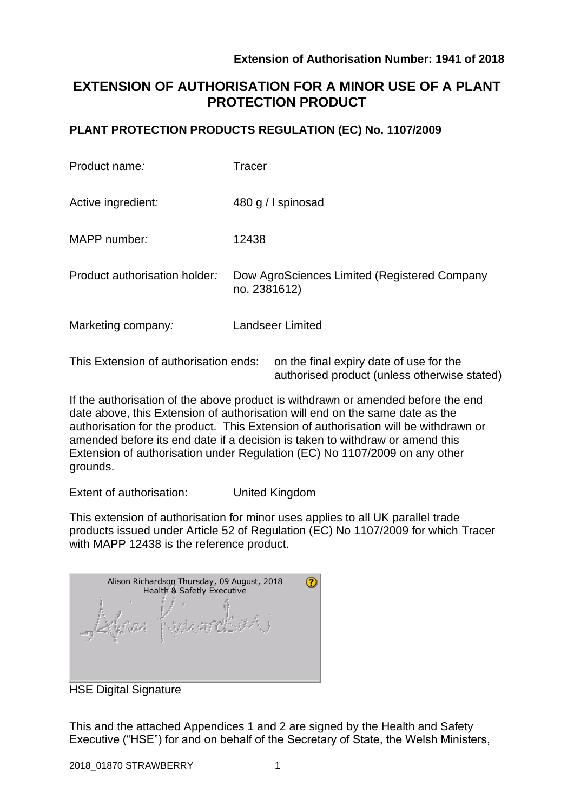authorised product (unless otherwise stated)

# **EXTENSION OF AUTHORISATION FOR A MINOR USE OF A PLANT PROTECTION PRODUCT**

### **PLANT PROTECTION PRODUCTS REGULATION (EC) No. 1107/2009**

| Product name:                         | <b>Tracer</b>                                                |
|---------------------------------------|--------------------------------------------------------------|
| Active ingredient:                    | 480 g / I spinosad                                           |
| MAPP number:                          | 12438                                                        |
| Product authorisation holder:         | Dow AgroSciences Limited (Registered Company<br>no. 2381612) |
| Marketing company:                    | <b>Landseer Limited</b>                                      |
| This Extension of authorisation ends: | on the final expiry date of use for the                      |

If the authorisation of the above product is withdrawn or amended before the end date above, this Extension of authorisation will end on the same date as the authorisation for the product. This Extension of authorisation will be withdrawn or amended before its end date if a decision is taken to withdraw or amend this Extension of authorisation under Regulation (EC) No 1107/2009 on any other grounds.

Extent of authorisation: United Kingdom

This extension of authorisation for minor uses applies to all UK parallel trade products issued under Article 52 of Regulation (EC) No 1107/2009 for which Tracer with MAPP 12438 is the reference product.

| Alison Richardson Thursday, 09 August, 2018<br>Health & Safetly Executive |  |  |  |  |  |  |  |
|---------------------------------------------------------------------------|--|--|--|--|--|--|--|
|                                                                           |  |  |  |  |  |  |  |

HSE Digital Signature

This and the attached Appendices 1 and 2 are signed by the Health and Safety Executive ("HSE") for and on behalf of the Secretary of State, the Welsh Ministers,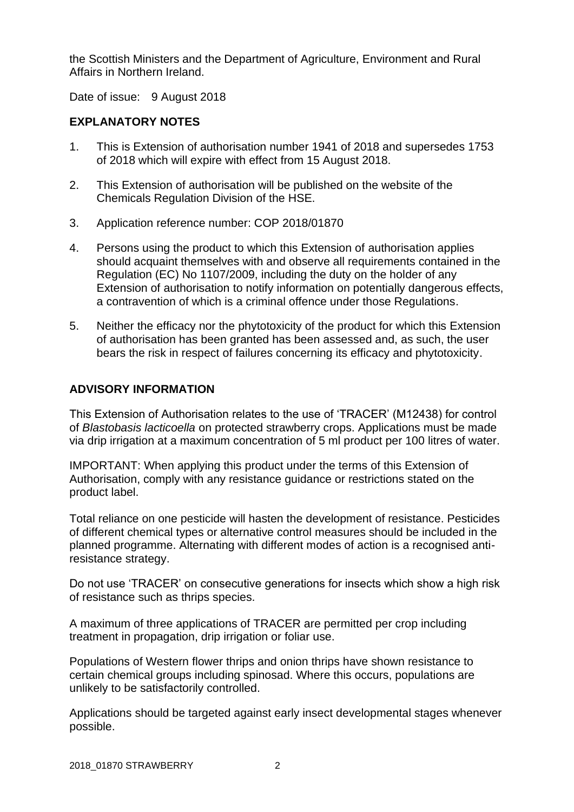the Scottish Ministers and the Department of Agriculture, Environment and Rural Affairs in Northern Ireland.

Date of issue: 9 August 2018

### **EXPLANATORY NOTES**

- 1. This is Extension of authorisation number 1941 of 2018 and supersedes 1753 of 2018 which will expire with effect from 15 August 2018.
- 2. This Extension of authorisation will be published on the website of the Chemicals Regulation Division of the HSE.
- 3. Application reference number: COP 2018/01870
- 4. Persons using the product to which this Extension of authorisation applies should acquaint themselves with and observe all requirements contained in the Regulation (EC) No 1107/2009, including the duty on the holder of any Extension of authorisation to notify information on potentially dangerous effects, a contravention of which is a criminal offence under those Regulations.
- 5. Neither the efficacy nor the phytotoxicity of the product for which this Extension of authorisation has been granted has been assessed and, as such, the user bears the risk in respect of failures concerning its efficacy and phytotoxicity.

### **ADVISORY INFORMATION**

This Extension of Authorisation relates to the use of 'TRACER' (M12438) for control of *Blastobasis lacticoella* on protected strawberry crops. Applications must be made via drip irrigation at a maximum concentration of 5 ml product per 100 litres of water.

IMPORTANT: When applying this product under the terms of this Extension of Authorisation, comply with any resistance guidance or restrictions stated on the product label.

Total reliance on one pesticide will hasten the development of resistance. Pesticides of different chemical types or alternative control measures should be included in the planned programme. Alternating with different modes of action is a recognised antiresistance strategy.

Do not use 'TRACER' on consecutive generations for insects which show a high risk of resistance such as thrips species.

A maximum of three applications of TRACER are permitted per crop including treatment in propagation, drip irrigation or foliar use.

Populations of Western flower thrips and onion thrips have shown resistance to certain chemical groups including spinosad. Where this occurs, populations are unlikely to be satisfactorily controlled.

Applications should be targeted against early insect developmental stages whenever possible.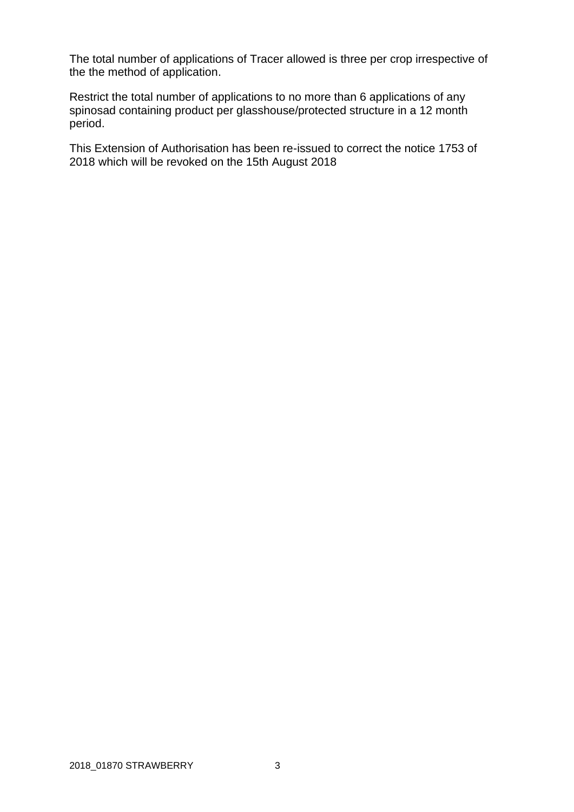The total number of applications of Tracer allowed is three per crop irrespective of the the method of application.

Restrict the total number of applications to no more than 6 applications of any spinosad containing product per glasshouse/protected structure in a 12 month period.

This Extension of Authorisation has been re-issued to correct the notice 1753 of 2018 which will be revoked on the 15th August 2018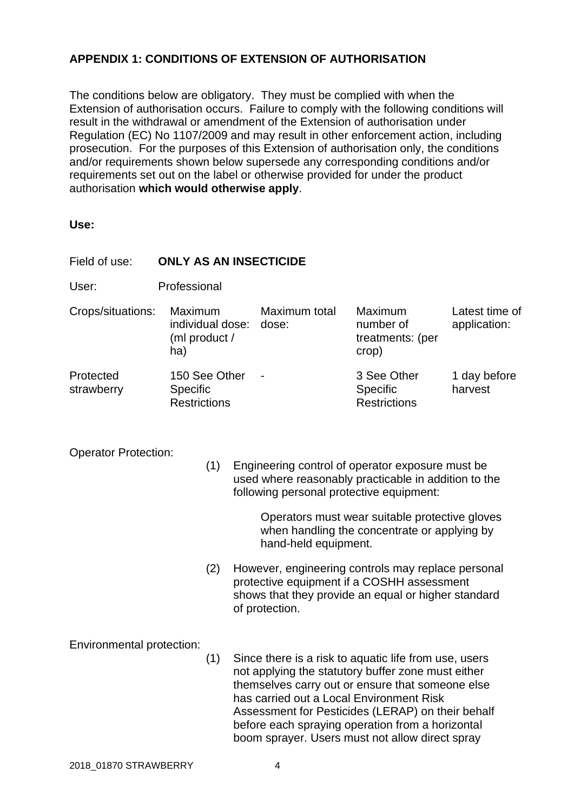## **APPENDIX 1: CONDITIONS OF EXTENSION OF AUTHORISATION**

The conditions below are obligatory. They must be complied with when the Extension of authorisation occurs. Failure to comply with the following conditions will result in the withdrawal or amendment of the Extension of authorisation under Regulation (EC) No 1107/2009 and may result in other enforcement action, including prosecution. For the purposes of this Extension of authorisation only, the conditions and/or requirements shown below supersede any corresponding conditions and/or requirements set out on the label or otherwise provided for under the product authorisation **which would otherwise apply**.

**Use:**

| Field of use:                      | <b>ONLY AS AN INSECTICIDE</b>                       |     |                                                                                                                                                                                                                                                                                                                                                                         |                        |                                                                                                                                                         |                                |  |  |  |
|------------------------------------|-----------------------------------------------------|-----|-------------------------------------------------------------------------------------------------------------------------------------------------------------------------------------------------------------------------------------------------------------------------------------------------------------------------------------------------------------------------|------------------------|---------------------------------------------------------------------------------------------------------------------------------------------------------|--------------------------------|--|--|--|
| User:                              | Professional                                        |     |                                                                                                                                                                                                                                                                                                                                                                         |                        |                                                                                                                                                         |                                |  |  |  |
| Crops/situations:                  | Maximum<br>individual dose:<br>(ml product /<br>ha) |     |                                                                                                                                                                                                                                                                                                                                                                         | Maximum total<br>dose: | <b>Maximum</b><br>number of<br>treatments: (per<br>crop)                                                                                                | Latest time of<br>application: |  |  |  |
| Protected<br>strawberry            | 150 See Other<br>Specific<br><b>Restrictions</b>    |     |                                                                                                                                                                                                                                                                                                                                                                         |                        | 3 See Other<br>Specific<br><b>Restrictions</b>                                                                                                          | 1 day before<br>harvest        |  |  |  |
| <b>Operator Protection:</b><br>(1) |                                                     |     | Engineering control of operator exposure must be<br>used where reasonably practicable in addition to the<br>following personal protective equipment:<br>Operators must wear suitable protective gloves<br>when handling the concentrate or applying by<br>hand-held equipment.                                                                                          |                        |                                                                                                                                                         |                                |  |  |  |
|                                    |                                                     | (2) |                                                                                                                                                                                                                                                                                                                                                                         | of protection.         | However, engineering controls may replace personal<br>protective equipment if a COSHH assessment<br>shows that they provide an equal or higher standard |                                |  |  |  |
| Environmental protection:          |                                                     | (1) | Since there is a risk to aquatic life from use, users<br>not applying the statutory buffer zone must either<br>themselves carry out or ensure that someone else<br>has carried out a Local Environment Risk<br>Assessment for Pesticides (LERAP) on their behalf<br>before each spraying operation from a horizontal<br>boom sprayer. Users must not allow direct spray |                        |                                                                                                                                                         |                                |  |  |  |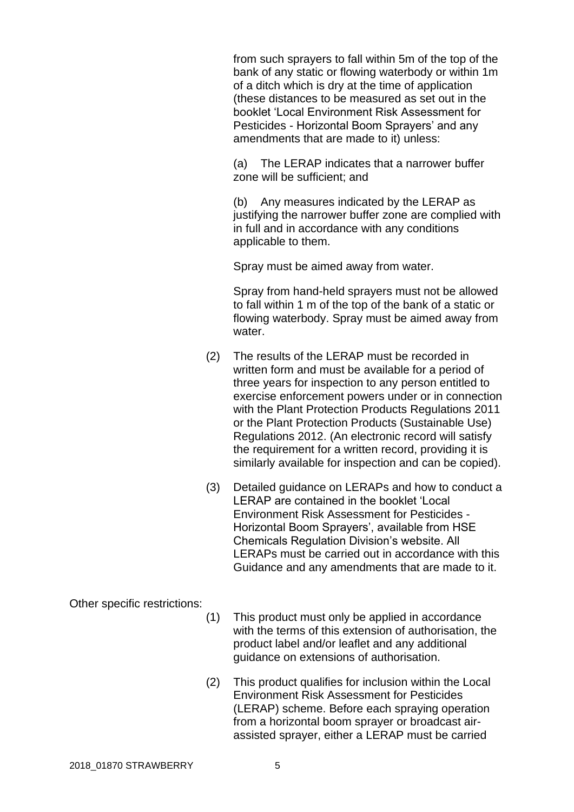from such sprayers to fall within 5m of the top of the bank of any static or flowing waterbody or within 1m of a ditch which is dry at the time of application (these distances to be measured as set out in the booklet 'Local Environment Risk Assessment for Pesticides - Horizontal Boom Sprayers' and any amendments that are made to it) unless:

(a) The LERAP indicates that a narrower buffer zone will be sufficient; and

(b) Any measures indicated by the LERAP as justifying the narrower buffer zone are complied with in full and in accordance with any conditions applicable to them.

Spray must be aimed away from water.

Spray from hand-held sprayers must not be allowed to fall within 1 m of the top of the bank of a static or flowing waterbody. Spray must be aimed away from water.

- (2) The results of the LERAP must be recorded in written form and must be available for a period of three years for inspection to any person entitled to exercise enforcement powers under or in connection with the Plant Protection Products Regulations 2011 or the Plant Protection Products (Sustainable Use) Regulations 2012. (An electronic record will satisfy the requirement for a written record, providing it is similarly available for inspection and can be copied).
- (3) Detailed guidance on LERAPs and how to conduct a LERAP are contained in the booklet 'Local Environment Risk Assessment for Pesticides - Horizontal Boom Sprayers', available from HSE Chemicals Regulation Division's website. All LERAPs must be carried out in accordance with this Guidance and any amendments that are made to it.

### Other specific restrictions:

- (1) This product must only be applied in accordance with the terms of this extension of authorisation, the product label and/or leaflet and any additional guidance on extensions of authorisation.
- (2) This product qualifies for inclusion within the Local Environment Risk Assessment for Pesticides (LERAP) scheme. Before each spraying operation from a horizontal boom sprayer or broadcast airassisted sprayer, either a LERAP must be carried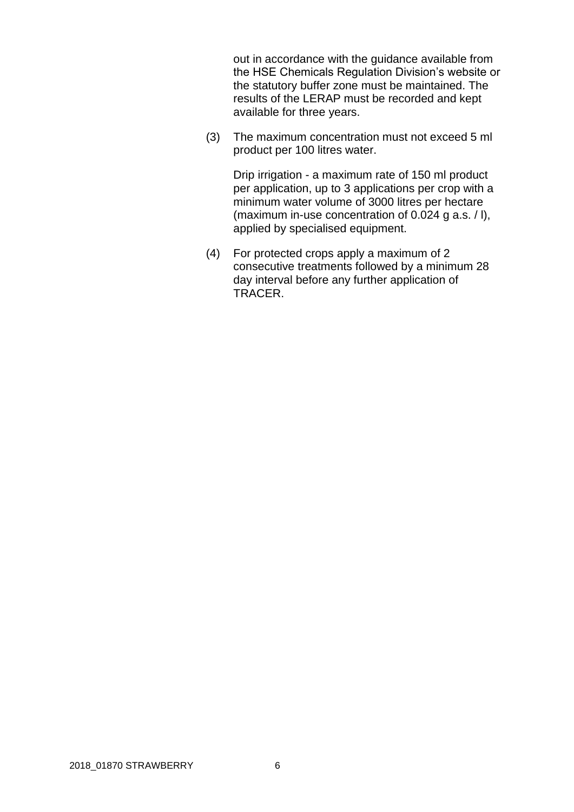out in accordance with the guidance available from the HSE Chemicals Regulation Division's website or the statutory buffer zone must be maintained. The results of the LERAP must be recorded and kept available for three years.

(3) The maximum concentration must not exceed 5 ml product per 100 litres water.

Drip irrigation - a maximum rate of 150 ml product per application, up to 3 applications per crop with a minimum water volume of 3000 litres per hectare (maximum in-use concentration of 0.024 g a.s. / l), applied by specialised equipment.

(4) For protected crops apply a maximum of 2 consecutive treatments followed by a minimum 28 day interval before any further application of TRACER.